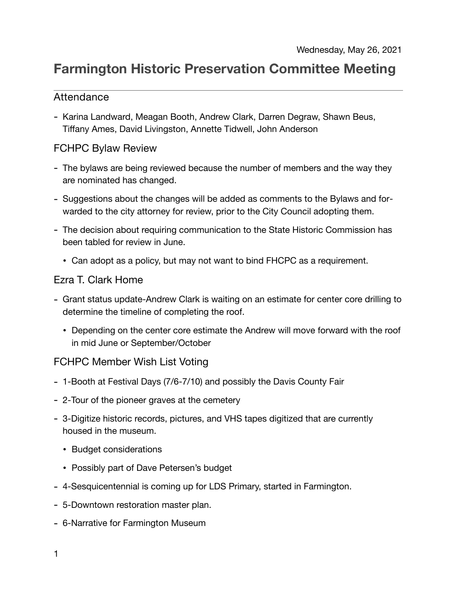# **Farmington Historic Preservation Committee Meeting**

## Attendance

- Karina Landward, Meagan Booth, Andrew Clark, Darren Degraw, Shawn Beus, Tiffany Ames, David Livingston, Annette Tidwell, John Anderson

#### FCHPC Bylaw Review

- The bylaws are being reviewed because the number of members and the way they are nominated has changed.
- Suggestions about the changes will be added as comments to the Bylaws and forwarded to the city attorney for review, prior to the City Council adopting them.
- The decision about requiring communication to the State Historic Commission has been tabled for review in June.
	- Can adopt as a policy, but may not want to bind FHCPC as a requirement.

### Ezra T. Clark Home

- Grant status update-Andrew Clark is waiting on an estimate for center core drilling to determine the timeline of completing the roof.
	- Depending on the center core estimate the Andrew will move forward with the roof in mid June or September/October

## FCHPC Member Wish List Voting

- 1-Booth at Festival Days (7/6-7/10) and possibly the Davis County Fair
- 2-Tour of the pioneer graves at the cemetery
- 3-Digitize historic records, pictures, and VHS tapes digitized that are currently housed in the museum.
	- Budget considerations
	- Possibly part of Dave Petersen's budget
- 4-Sesquicentennial is coming up for LDS Primary, started in Farmington.
- 5-Downtown restoration master plan.
- 6-Narrative for Farmington Museum